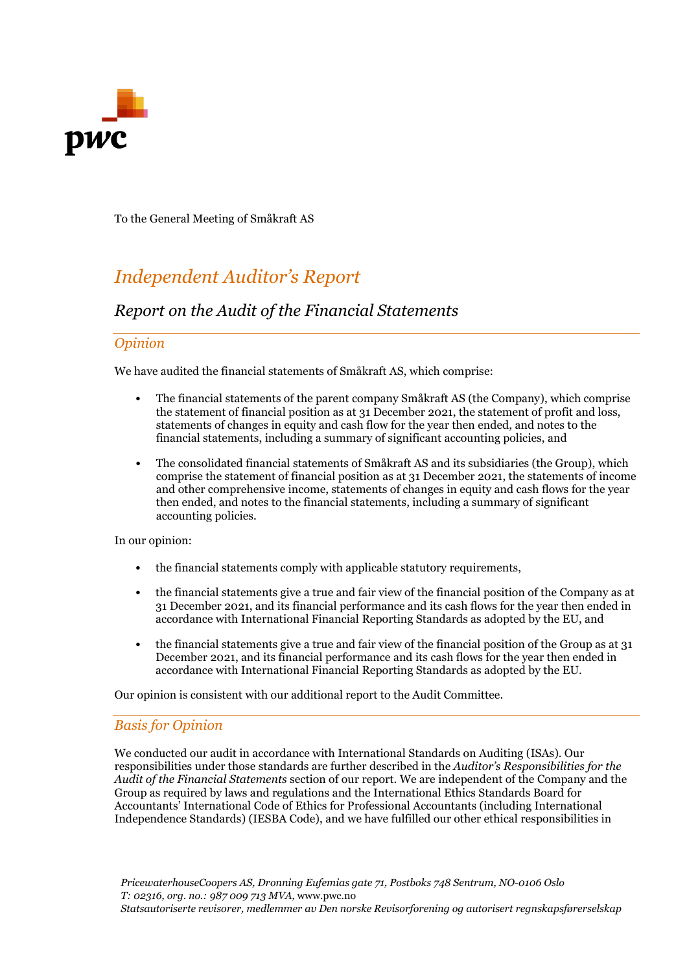

To the General Meeting of Småkraft AS

# *Independent Auditor's Report*

# *Report on the Audit of the Financial Statements*

### *Opinion*

We have audited the financial statements of Småkraft AS, which comprise:

- The financial statements of the parent company Småkraft AS (the Company), which comprise the statement of financial position as at 31 December 2021, the statement of profit and loss, statements of changes in equity and cash flow for the year then ended, and notes to the financial statements, including a summary of significant accounting policies, and
- The consolidated financial statements of Småkraft AS and its subsidiaries (the Group), which comprise the statement of financial position as at 31 December 2021, the statements of income and other comprehensive income, statements of changes in equity and cash flows for the year then ended, and notes to the financial statements, including a summary of significant accounting policies.

In our opinion:

- the financial statements comply with applicable statutory requirements,
- the financial statements give a true and fair view of the financial position of the Company as at 31 December 2021, and its financial performance and its cash flows for the year then ended in accordance with International Financial Reporting Standards as adopted by the EU, and
- the financial statements give a true and fair view of the financial position of the Group as at 31 December 2021, and its financial performance and its cash flows for the year then ended in accordance with International Financial Reporting Standards as adopted by the EU.

Our opinion is consistent with our additional report to the Audit Committee.

#### *Basis for Opinion*

We conducted our audit in accordance with International Standards on Auditing (ISAs). Our responsibilities under those standards are further described in the *Auditor's Responsibilities for the Audit of the Financial Statements* section of our report. We are independent of the Company and the Group as required by laws and regulations and the International Ethics Standards Board for Accountants' International Code of Ethics for Professional Accountants (including International Independence Standards) (IESBA Code), and we have fulfilled our other ethical responsibilities in

*PricewaterhouseCoopers AS, Dronning Eufemias gate 71, Postboks 748 Sentrum, NO-0106 Oslo T: 02316, org. no.: 987 009 713 MVA,* www.pwc.no *Statsautoriserte revisorer, medlemmer av Den norske Revisorforening og autorisert regnskapsførerselskap*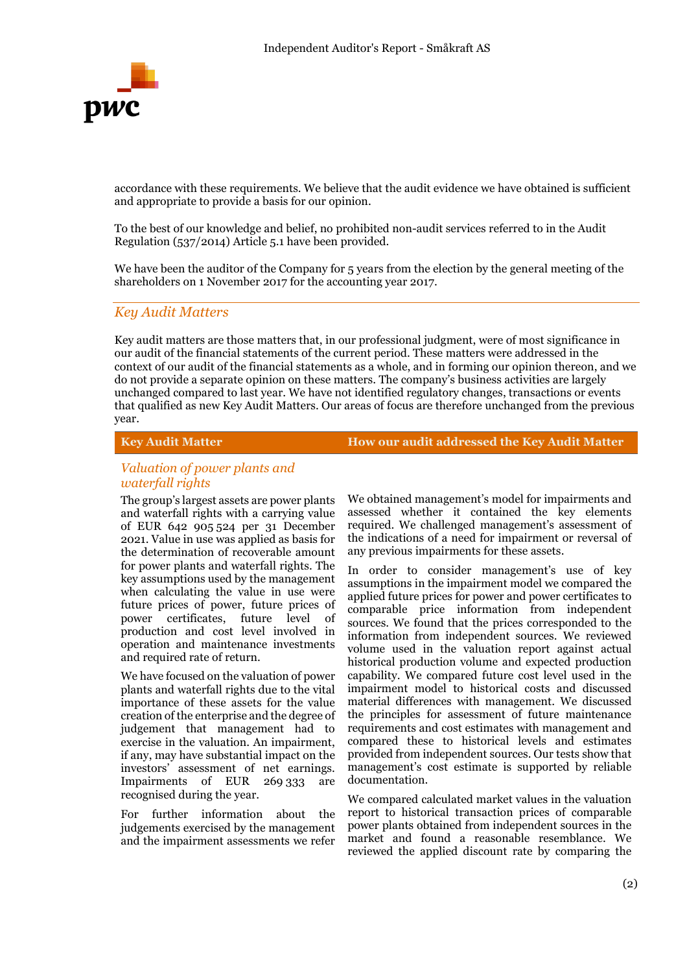

accordance with these requirements. We believe that the audit evidence we have obtained is sufficient and appropriate to provide a basis for our opinion.

To the best of our knowledge and belief, no prohibited non-audit services referred to in the Audit Regulation (537/2014) Article 5.1 have been provided.

We have been the auditor of the Company for 5 years from the election by the general meeting of the shareholders on 1 November 2017 for the accounting year 2017.

#### *Key Audit Matters*

Key audit matters are those matters that, in our professional judgment, were of most significance in our audit of the financial statements of the current period. These matters were addressed in the context of our audit of the financial statements as a whole, and in forming our opinion thereon, and we do not provide a separate opinion on these matters. The company's business activities are largely unchanged compared to last year. We have not identified regulatory changes, transactions or events that qualified as new Key Audit Matters. Our areas of focus are therefore unchanged from the previous year.

**Key Audit Matter How our audit addressed the Key Audit Matter**

#### *Valuation of power plants and waterfall rights*

The group's largest assets are power plants and waterfall rights with a carrying value of EUR 642 905 524 per 31 December 2021. Value in use was applied as basis for the determination of recoverable amount for power plants and waterfall rights. The key assumptions used by the management when calculating the value in use were future prices of power, future prices of power certificates, future level of production and cost level involved in operation and maintenance investments and required rate of return.

We have focused on the valuation of power plants and waterfall rights due to the vital importance of these assets for the value creation of the enterprise and the degree of judgement that management had to exercise in the valuation. An impairment, if any, may have substantial impact on the investors' assessment of net earnings. Impairments of EUR 269 333 are recognised during the year.

For further information about the judgements exercised by the management and the impairment assessments we refer

We obtained management's model for impairments and assessed whether it contained the key elements required. We challenged management's assessment of the indications of a need for impairment or reversal of any previous impairments for these assets.

In order to consider management's use of key assumptions in the impairment model we compared the applied future prices for power and power certificates to comparable price information from independent sources. We found that the prices corresponded to the information from independent sources. We reviewed volume used in the valuation report against actual historical production volume and expected production capability. We compared future cost level used in the impairment model to historical costs and discussed material differences with management. We discussed the principles for assessment of future maintenance requirements and cost estimates with management and compared these to historical levels and estimates provided from independent sources. Our tests show that management's cost estimate is supported by reliable documentation.

We compared calculated market values in the valuation report to historical transaction prices of comparable power plants obtained from independent sources in the market and found a reasonable resemblance. We reviewed the applied discount rate by comparing the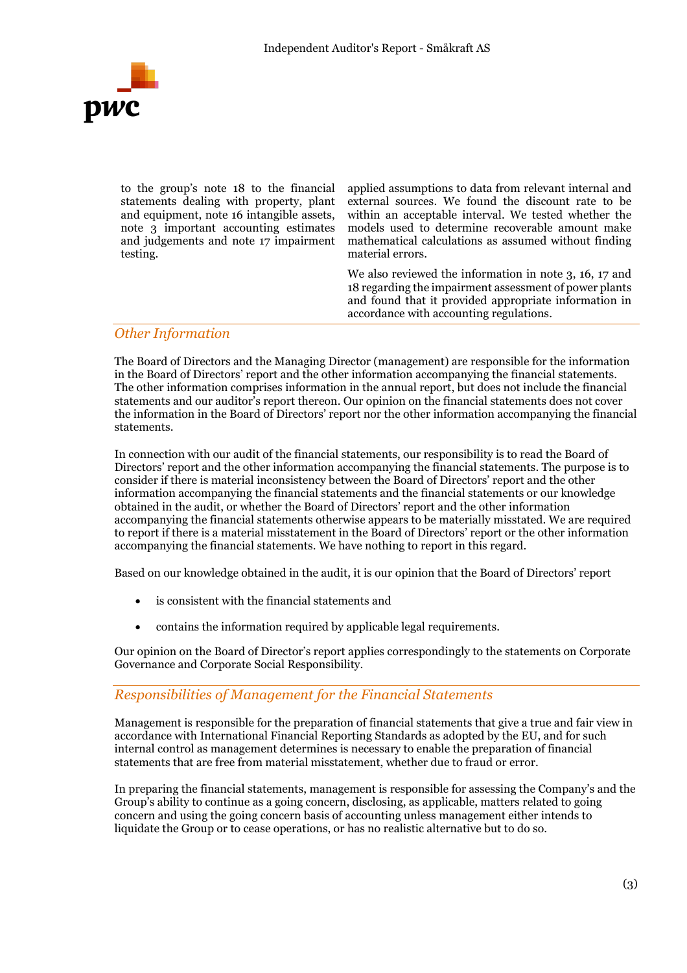

to the group's note 18 to the financial statements dealing with property, plant and equipment, note 16 intangible assets, note 3 important accounting estimates and judgements and note 17 impairment testing.

applied assumptions to data from relevant internal and external sources. We found the discount rate to be within an acceptable interval. We tested whether the models used to determine recoverable amount make mathematical calculations as assumed without finding material errors.

We also reviewed the information in note 3, 16, 17 and 18 regarding the impairment assessment of power plants and found that it provided appropriate information in accordance with accounting regulations.

### *Other Information*

The Board of Directors and the Managing Director (management) are responsible for the information in the Board of Directors' report and the other information accompanying the financial statements. The other information comprises information in the annual report, but does not include the financial statements and our auditor's report thereon. Our opinion on the financial statements does not cover the information in the Board of Directors' report nor the other information accompanying the financial statements.

In connection with our audit of the financial statements, our responsibility is to read the Board of Directors' report and the other information accompanying the financial statements. The purpose is to consider if there is material inconsistency between the Board of Directors' report and the other information accompanying the financial statements and the financial statements or our knowledge obtained in the audit, or whether the Board of Directors' report and the other information accompanying the financial statements otherwise appears to be materially misstated. We are required to report if there is a material misstatement in the Board of Directors' report or the other information accompanying the financial statements. We have nothing to report in this regard.

Based on our knowledge obtained in the audit, it is our opinion that the Board of Directors' report

- is consistent with the financial statements and
- contains the information required by applicable legal requirements.

Our opinion on the Board of Director's report applies correspondingly to the statements on Corporate Governance and Corporate Social Responsibility.

#### *Responsibilities of Management for the Financial Statements*

Management is responsible for the preparation of financial statements that give a true and fair view in accordance with International Financial Reporting Standards as adopted by the EU, and for such internal control as management determines is necessary to enable the preparation of financial statements that are free from material misstatement, whether due to fraud or error.

In preparing the financial statements, management is responsible for assessing the Company's and the Group's ability to continue as a going concern, disclosing, as applicable, matters related to going concern and using the going concern basis of accounting unless management either intends to liquidate the Group or to cease operations, or has no realistic alternative but to do so.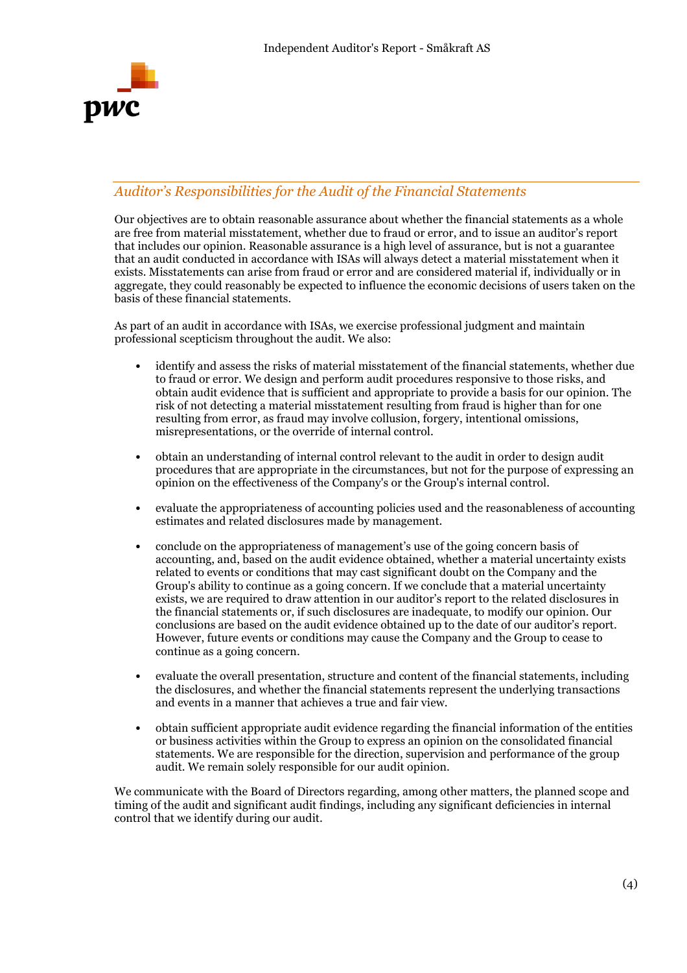

#### *Auditor's Responsibilities for the Audit of the Financial Statements*

Our objectives are to obtain reasonable assurance about whether the financial statements as a whole are free from material misstatement, whether due to fraud or error, and to issue an auditor's report that includes our opinion. Reasonable assurance is a high level of assurance, but is not a guarantee that an audit conducted in accordance with ISAs will always detect a material misstatement when it exists. Misstatements can arise from fraud or error and are considered material if, individually or in aggregate, they could reasonably be expected to influence the economic decisions of users taken on the basis of these financial statements.

As part of an audit in accordance with ISAs, we exercise professional judgment and maintain professional scepticism throughout the audit. We also:

- identify and assess the risks of material misstatement of the financial statements, whether due to fraud or error. We design and perform audit procedures responsive to those risks, and obtain audit evidence that is sufficient and appropriate to provide a basis for our opinion. The risk of not detecting a material misstatement resulting from fraud is higher than for one resulting from error, as fraud may involve collusion, forgery, intentional omissions, misrepresentations, or the override of internal control.
- obtain an understanding of internal control relevant to the audit in order to design audit procedures that are appropriate in the circumstances, but not for the purpose of expressing an opinion on the effectiveness of the Company's or the Group's internal control.
- evaluate the appropriateness of accounting policies used and the reasonableness of accounting estimates and related disclosures made by management.
- conclude on the appropriateness of management's use of the going concern basis of accounting, and, based on the audit evidence obtained, whether a material uncertainty exists related to events or conditions that may cast significant doubt on the Company and the Group's ability to continue as a going concern. If we conclude that a material uncertainty exists, we are required to draw attention in our auditor's report to the related disclosures in the financial statements or, if such disclosures are inadequate, to modify our opinion. Our conclusions are based on the audit evidence obtained up to the date of our auditor's report. However, future events or conditions may cause the Company and the Group to cease to continue as a going concern.
- evaluate the overall presentation, structure and content of the financial statements, including the disclosures, and whether the financial statements represent the underlying transactions and events in a manner that achieves a true and fair view.
- obtain sufficient appropriate audit evidence regarding the financial information of the entities or business activities within the Group to express an opinion on the consolidated financial statements. We are responsible for the direction, supervision and performance of the group audit. We remain solely responsible for our audit opinion.

We communicate with the Board of Directors regarding, among other matters, the planned scope and timing of the audit and significant audit findings, including any significant deficiencies in internal control that we identify during our audit.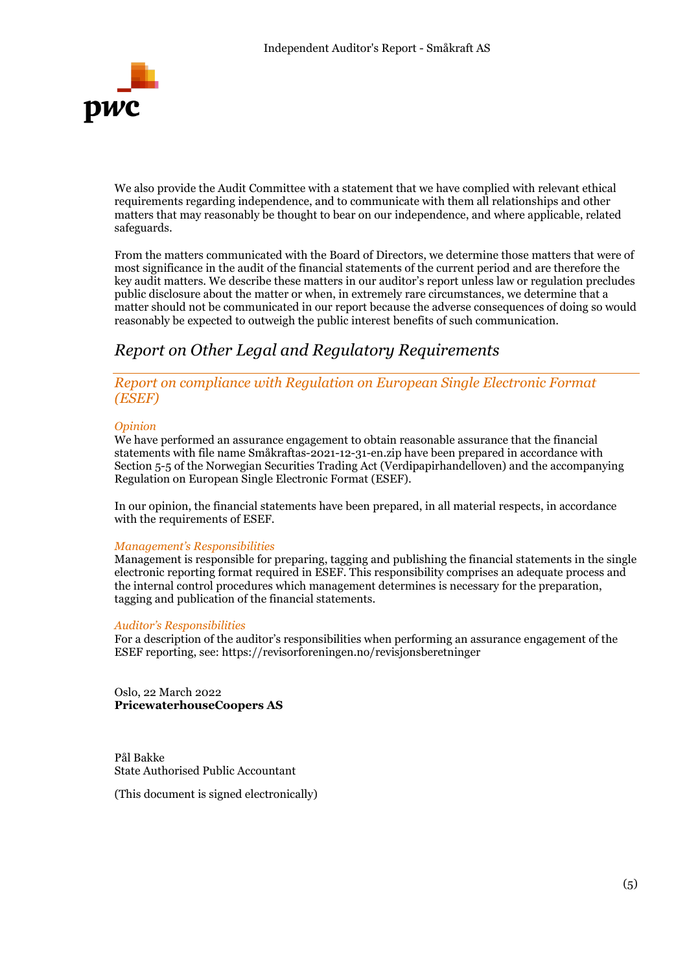

We also provide the Audit Committee with a statement that we have complied with relevant ethical requirements regarding independence, and to communicate with them all relationships and other matters that may reasonably be thought to bear on our independence, and where applicable, related safeguards.

From the matters communicated with the Board of Directors, we determine those matters that were of most significance in the audit of the financial statements of the current period and are therefore the key audit matters. We describe these matters in our auditor's report unless law or regulation precludes public disclosure about the matter or when, in extremely rare circumstances, we determine that a matter should not be communicated in our report because the adverse consequences of doing so would reasonably be expected to outweigh the public interest benefits of such communication.

# *Report on Other Legal and Regulatory Requirements*

*Report on compliance with Regulation on European Single Electronic Format (ESEF)*

#### *Opinion*

We have performed an assurance engagement to obtain reasonable assurance that the financial statements with file name Småkraftas-2021-12-31-en.zip have been prepared in accordance with Section 5-5 of the Norwegian Securities Trading Act (Verdipapirhandelloven) and the accompanying Regulation on European Single Electronic Format (ESEF).

In our opinion, the financial statements have been prepared, in all material respects, in accordance with the requirements of ESEF.

#### *Management's Responsibilities*

Management is responsible for preparing, tagging and publishing the financial statements in the single electronic reporting format required in ESEF. This responsibility comprises an adequate process and the internal control procedures which management determines is necessary for the preparation, tagging and publication of the financial statements.

#### *Auditor's Responsibilities*

For a description of the auditor's responsibilities when performing an assurance engagement of the ESEF reporting, see: https://revisorforeningen.no/revisjonsberetninger

Oslo, 22 March 2022 **PricewaterhouseCoopers AS**

Pål Bakke State Authorised Public Accountant

(This document is signed electronically)